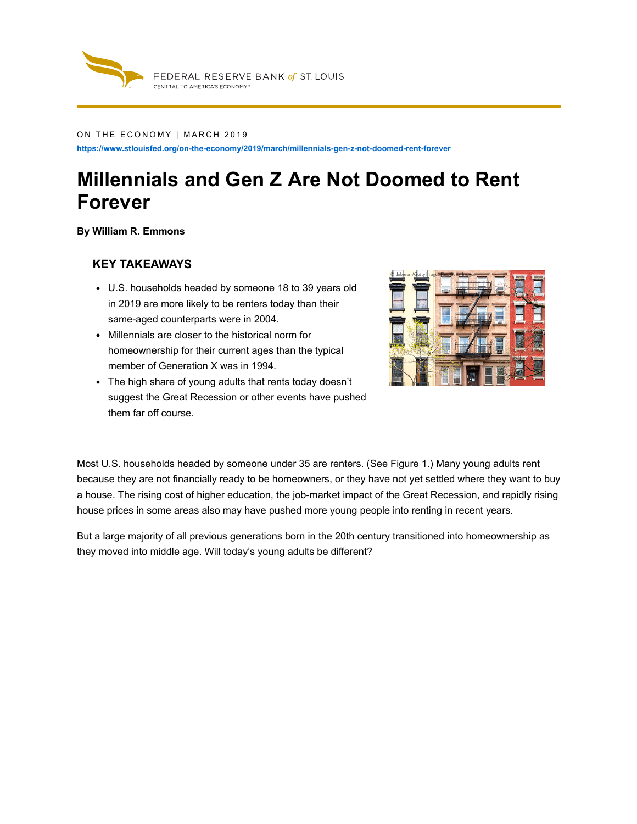

#### ON THE ECONOMY | MARCH 2019

**https://www.stlouisfed.org/on-the-economy/2019/march/millennials-gen-z-not-doomed-rent-forever**

# **Millennials and Gen Z Are Not Doomed to Rent Forever**

**By William R. Emmons**

#### **KEY TAKEAWAYS**

- U.S. households headed by someone 18 to 39 years old in 2019 are more likely to be renters today than their same-aged counterparts were in 2004.
- Millennials are closer to the historical norm for homeownership for their current ages than the typical member of Generation X was in 1994.
- The high share of young adults that rents today doesn't suggest the Great Recession or other events have pushed them far off course.



Most U.S. households headed by someone under 35 are renters. (See Figure 1.) Many young adults rent because they are not financially ready to be homeowners, or they have not yet settled where they want to buy a house. The rising cost of higher education, the job-market impact of the Great Recession, and rapidly rising house prices in some areas also may have pushed more young people into renting in recent years.

But a large majority of all previous generations born in the 20th century transitioned into homeownership as they moved into middle age. Will today's young adults be different?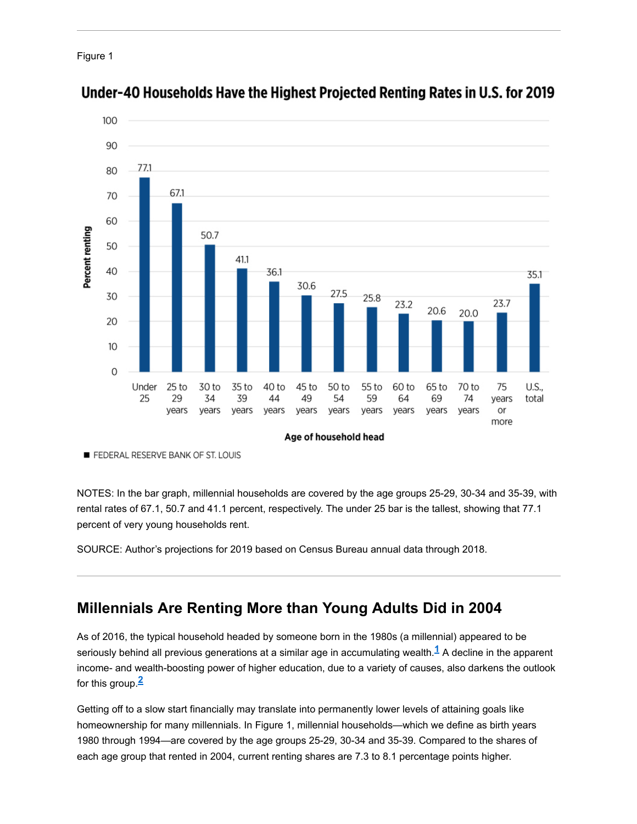```
Figure 1
```


Under-40 Households Have the Highest Projected Renting Rates in U.S. for 2019

FEDERAL RESERVE BANK OF ST. LOUIS

NOTES: In the bar graph, millennial households are covered by the age groups 25-29, 30-34 and 35-39, with rental rates of 67.1, 50.7 and 41.1 percent, respectively. The under 25 bar is the tallest, showing that 77.1 percent of very young households rent.

SOURCE: Author's projections for 2019 based on Census Bureau annual data through 2018.

## **Millennials Are Renting More than Young Adults Did in 2004**

As of 2016, the typical household headed by someone born in the 1980s (a millennial) appeared to be seriously behind all previous generations at a similar age in accumulating wealth. $^{\textbf{1}}$  A decline in the apparent income- and wealth-boosting power of higher education, due to a variety of causes, also darkens the outlook for this group. **2**

Getting off to a slow start financially may translate into permanently lower levels of attaining goals like homeownership for many millennials. In Figure 1, millennial households—which we define as birth years 1980 through 1994—are covered by the age groups 25-29, 30-34 and 35-39. Compared to the shares of each age group that rented in 2004, current renting shares are 7.3 to 8.1 percentage points higher.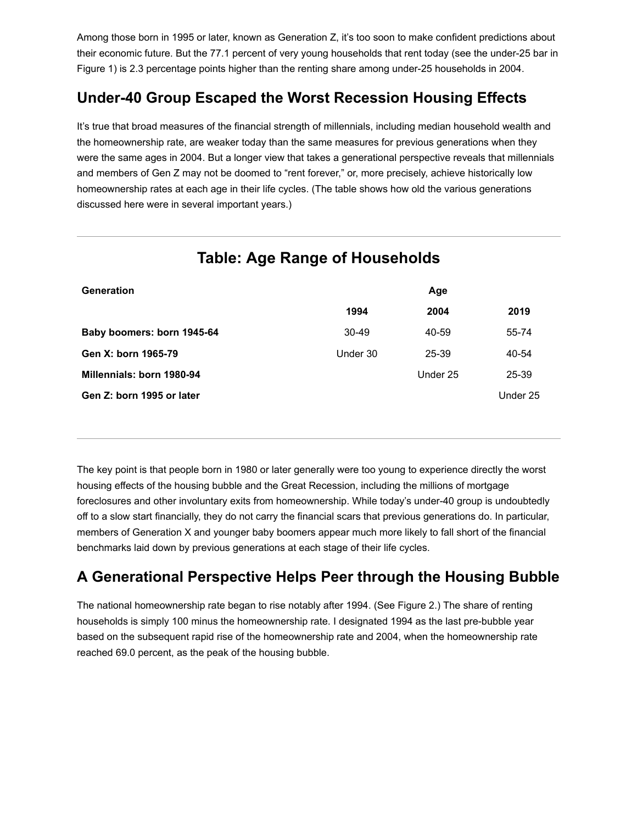Among those born in 1995 or later, known as Generation Z, it's too soon to make confident predictions about their economic future. But the 77.1 percent of very young households that rent today (see the under-25 bar in Figure 1) is 2.3 percentage points higher than the renting share among under-25 households in 2004.

## **Under-40 Group Escaped the Worst Recession Housing Effects**

It's true that broad measures of the financial strength of millennials, including median household wealth and the homeownership rate, are weaker today than the same measures for previous generations when they were the same ages in 2004. But a longer view that takes a generational perspective reveals that millennials and members of Gen Z may not be doomed to "rent forever," or, more precisely, achieve historically low homeownership rates at each age in their life cycles. (The table shows how old the various generations discussed here were in several important years.)

| <b>Generation</b>          |          | Age      |          |
|----------------------------|----------|----------|----------|
|                            | 1994     | 2004     | 2019     |
| Baby boomers: born 1945-64 | $30-49$  | 40-59    | 55-74    |
| Gen X: born 1965-79        | Under 30 | 25-39    | 40-54    |
| Millennials: born 1980-94  |          | Under 25 | 25-39    |
| Gen Z: born 1995 or later  |          |          | Under 25 |
|                            |          |          |          |

## **Table: Age Range of Households**

The key point is that people born in 1980 or later generally were too young to experience directly the worst housing effects of the housing bubble and the Great Recession, including the millions of mortgage foreclosures and other involuntary exits from homeownership. While today's under-40 group is undoubtedly off to a slow start financially, they do not carry the financial scars that previous generations do. In particular, members of Generation X and younger baby boomers appear much more likely to fall short of the financial benchmarks laid down by previous generations at each stage of their life cycles.

## **A Generational Perspective Helps Peer through the Housing Bubble**

The national homeownership rate began to rise notably after 1994. (See Figure 2.) The share of renting households is simply 100 minus the homeownership rate. I designated 1994 as the last pre-bubble year based on the subsequent rapid rise of the homeownership rate and 2004, when the homeownership rate reached 69.0 percent, as the peak of the housing bubble.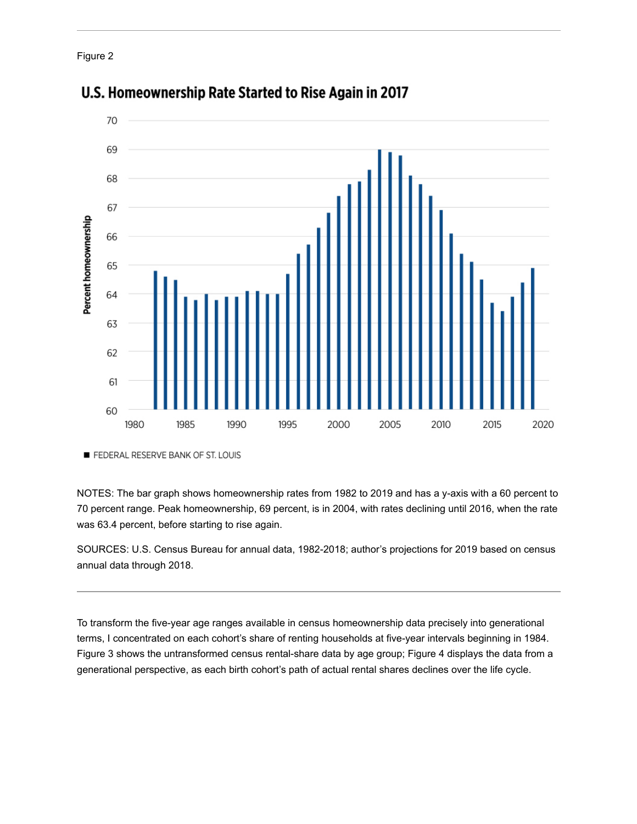Figure 2



### U.S. Homeownership Rate Started to Rise Again in 2017

FEDERAL RESERVE BANK OF ST. LOUIS

NOTES: The bar graph shows homeownership rates from 1982 to 2019 and has a y-axis with a 60 percent to 70 percent range. Peak homeownership, 69 percent, is in 2004, with rates declining until 2016, when the rate was 63.4 percent, before starting to rise again.

SOURCES: U.S. Census Bureau for annual data, 1982-2018; author's projections for 2019 based on census annual data through 2018.

To transform the five-year age ranges available in census homeownership data precisely into generational terms, I concentrated on each cohort's share of renting households at five-year intervals beginning in 1984. Figure 3 shows the untransformed census rental-share data by age group; Figure 4 displays the data from a generational perspective, as each birth cohort's path of actual rental shares declines over the life cycle.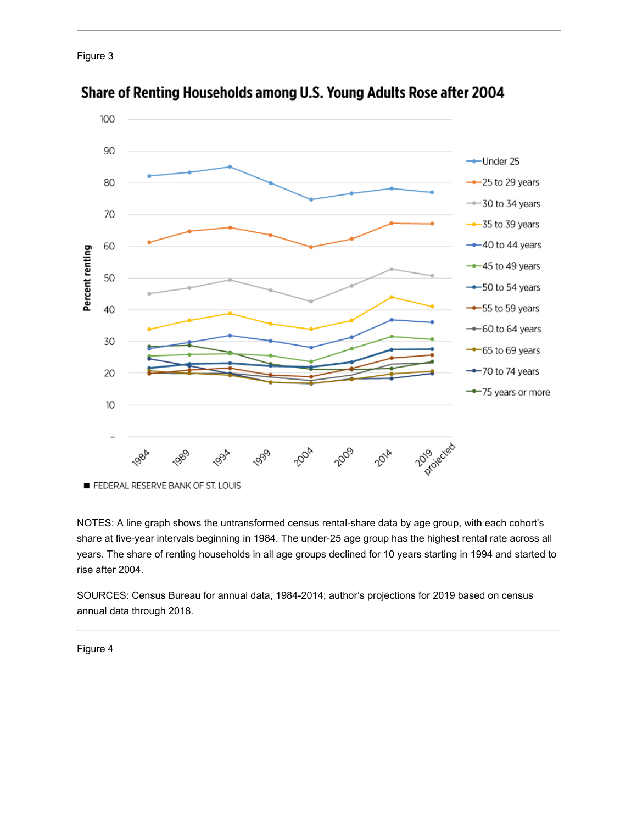



#### Share of Renting Households among U.S. Young Adults Rose after 2004

NOTES: A line graph shows the untransformed census rental-share data by age group, with each cohort's share at five-year intervals beginning in 1984. The under-25 age group has the highest rental rate across all years. The share of renting households in all age groups declined for 10 years starting in 1994 and started to rise after 2004.

SOURCES: Census Bureau for annual data, 1984-2014; author's projections for 2019 based on census annual data through 2018.

Figure 4

FEDERAL RESERVE BANK OF ST. LOUIS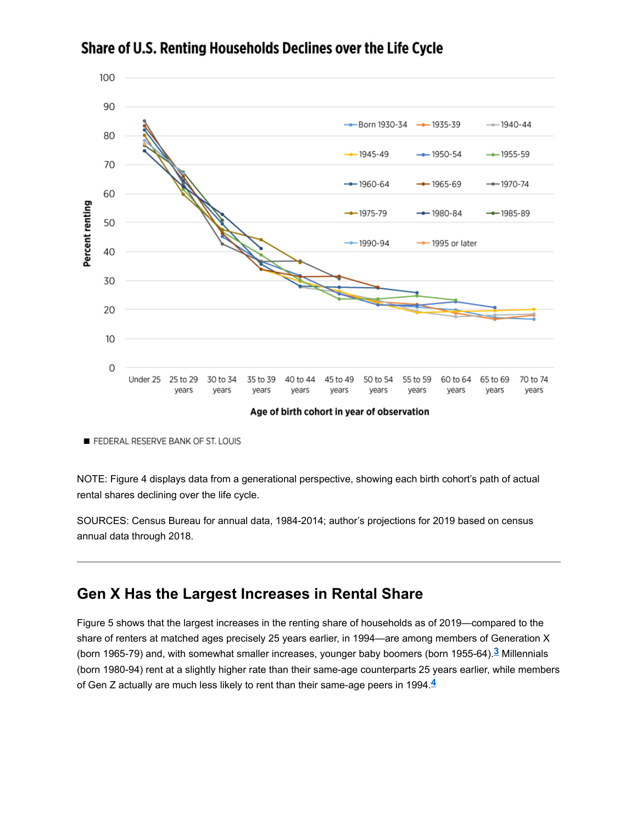

Share of U.S. Renting Households Declines over the Life Cycle

Age of birth cohort in year of observation

FEDERAL RESERVE BANK OF ST. LOUIS

NOTE: Figure 4 displays data from a generational perspective, showing each birth cohort's path of actual rental shares declining over the life cycle.

SOURCES: Census Bureau for annual data, 1984-2014; author's projections for 2019 based on census annual data through 2018.

#### **Gen X Has the Largest Increases in Rental Share**

Figure 5 shows that the largest increases in the renting share of households as of 2019—compared to the share of renters at matched ages precisely 25 years earlier, in 1994—are among members of Generation X (born 1965-79) and, with somewhat smaller increases, younger baby boomers (born 1955-64).<sup>3</sup> Millennials (born 1980-94) rent at a slightly higher rate than their same-age counterparts 25 years earlier, while members of Gen Z actually are much less likely to rent than their same-age peers in 1994. **4**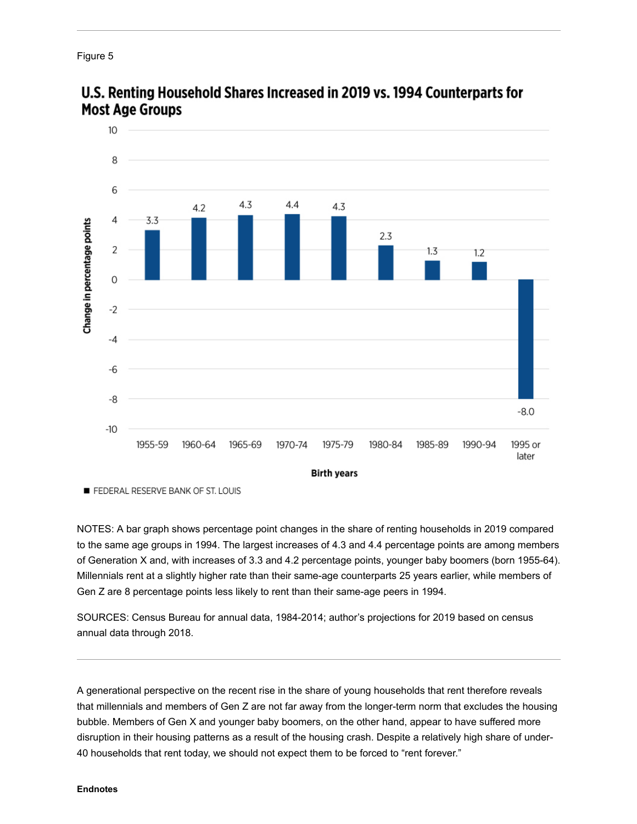



### U.S. Renting Household Shares Increased in 2019 vs. 1994 Counterparts for **Most Age Groups**

FEDERAL RESERVE BANK OF ST. LOUIS

NOTES: A bar graph shows percentage point changes in the share of renting households in 2019 compared to the same age groups in 1994. The largest increases of 4.3 and 4.4 percentage points are among members of Generation X and, with increases of 3.3 and 4.2 percentage points, younger baby boomers (born 1955-64). Millennials rent at a slightly higher rate than their same-age counterparts 25 years earlier, while members of Gen Z are 8 percentage points less likely to rent than their same-age peers in 1994.

SOURCES: Census Bureau for annual data, 1984-2014; author's projections for 2019 based on census annual data through 2018.

A generational perspective on the recent rise in the share of young households that rent therefore reveals that millennials and members of Gen Z are not far away from the longer-term norm that excludes the housing bubble. Members of Gen X and younger baby boomers, on the other hand, appear to have suffered more disruption in their housing patterns as a result of the housing crash. Despite a relatively high share of under-40 households that rent today, we should not expect them to be forced to "rent forever."